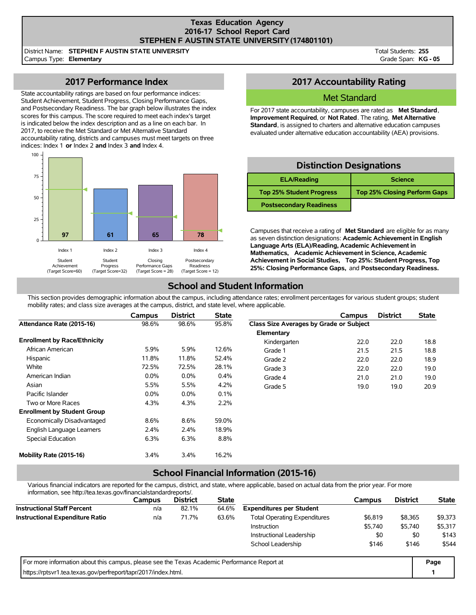### **Texas Education Agency 2016-17 School Report Card STEPHEN F AUSTIN STATE UNIVERSITY(174801101)**

District Name: **STEPHEN F AUSTIN STATE UNIVERSITY** Campus Type: **Elementary**

Total Students: **255** Grade Span: **KG - 05**

## **2017 Performance Index**

State accountability ratings are based on four performance indices: Student Achievement, Student Progress, Closing Performance Gaps, and Postsecondary Readiness. The bar graph below illustrates the index scores for this campus. The score required to meet each index's target is indicated below the index description and as a line on each bar. In 2017, to receive the Met Standard or Met Alternative Standard accountability rating, districts and campuses must meet targets on three indices: Index 1 **or** Index 2 **and** Index 3 **and** Index 4.



## **2017 Accountability Rating**

### Met Standard

For 2017 state accountability, campuses are rated as **Met Standard**, **Improvement Required**, or **Not Rated**. The rating, **Met Alternative Standard**, is assigned to charters and alternative education campuses evaluated under alternative education accountability (AEA) provisions.

## **Distinction Designations**

| <b>ELA/Reading</b>              | <b>Science</b>                      |
|---------------------------------|-------------------------------------|
| <b>Top 25% Student Progress</b> | <b>Top 25% Closing Perform Gaps</b> |
| <b>Postsecondary Readiness</b>  |                                     |

Campuses that receive a rating of **Met Standard** are eligible for as many as seven distinction designations: **Academic Achievement in English Language Arts (ELA)/Reading, Academic Achievement in Mathematics, Academic Achievement in Science, Academic Achievement in Social Studies, Top 25%: Student Progress, Top 25%: Closing Performance Gaps,** and **Postsecondary Readiness.**

# **School and Student Information**

This section provides demographic information about the campus, including attendance rates; enrollment percentages for various student groups; student mobility rates; and class size averages at the campus, district, and state level, where applicable.

|                                     | Campus  | <b>District</b> | <b>State</b> |                                         | Campus | <b>District</b> | <b>State</b> |
|-------------------------------------|---------|-----------------|--------------|-----------------------------------------|--------|-----------------|--------------|
| Attendance Rate (2015-16)           | 98.6%   | 98.6%           | 95.8%        | Class Size Averages by Grade or Subject |        |                 |              |
|                                     |         |                 |              | Elementary                              |        |                 |              |
| <b>Enrollment by Race/Ethnicity</b> |         |                 |              | Kindergarten                            | 22.0   | 22.0            | 18.8         |
| African American                    | 5.9%    | 5.9%            | 12.6%        | Grade 1                                 | 21.5   | 21.5            | 18.8         |
| Hispanic                            | 11.8%   | 11.8%           | 52.4%        | Grade 2                                 | 22.0   | 22.0            | 18.9         |
| White                               | 72.5%   | 72.5%           | 28.1%        | Grade 3                                 | 22.0   | 22.0            | 19.0         |
| American Indian                     | $0.0\%$ | $0.0\%$         | 0.4%         | Grade 4                                 | 21.0   | 21.0            | 19.0         |
| Asian                               | 5.5%    | 5.5%            | 4.2%         | Grade 5                                 | 19.0   | 19.0            | 20.9         |
| Pacific Islander                    | $0.0\%$ | $0.0\%$         | 0.1%         |                                         |        |                 |              |
| Two or More Races                   | 4.3%    | 4.3%            | 2.2%         |                                         |        |                 |              |
| <b>Enrollment by Student Group</b>  |         |                 |              |                                         |        |                 |              |
| Economically Disadvantaged          | 8.6%    | 8.6%            | 59.0%        |                                         |        |                 |              |
| English Language Learners           | $2.4\%$ | 2.4%            | 18.9%        |                                         |        |                 |              |
| Special Education                   | 6.3%    | 6.3%            | 8.8%         |                                         |        |                 |              |
| Mobility Rate (2015-16)             | 3.4%    | 3.4%            | 16.2%        |                                         |        |                 |              |

# **School Financial Information (2015-16)**

Various financial indicators are reported for the campus, district, and state, where applicable, based on actual data from the prior year. For more information, see http://tea.texas.gov/financialstandardreports/.

| illiolitiation, see http://tea.texas.gov/illialicialstandardieports/.                       |               |                 |              |                                     |         |                 |              |
|---------------------------------------------------------------------------------------------|---------------|-----------------|--------------|-------------------------------------|---------|-----------------|--------------|
|                                                                                             | <b>Campus</b> | <b>District</b> | <b>State</b> |                                     | Campus  | <b>District</b> | <b>State</b> |
| <b>Instructional Staff Percent</b>                                                          | n/a           | 82.1%           | 64.6%        | <b>Expenditures per Student</b>     |         |                 |              |
| <b>Instructional Expenditure Ratio</b>                                                      | n/a           | 71.7%           | 63.6%        | <b>Total Operating Expenditures</b> | \$6,819 | \$8.365         | \$9,373      |
|                                                                                             |               |                 |              | <b>Instruction</b>                  | \$5,740 | \$5,740         | \$5,317      |
|                                                                                             |               |                 |              | Instructional Leadership            | \$0     | \$0             | \$143        |
|                                                                                             |               |                 |              | School Leadership                   | \$146   | \$146           | \$544        |
| For more information about this campus, please see the Texas Academic Performance Report at |               |                 |              |                                     |         |                 | Page         |
| https://rptsyr1.tea.texas.gov/perfreport/tapr/2017/index.html.                              |               |                 |              |                                     |         |                 |              |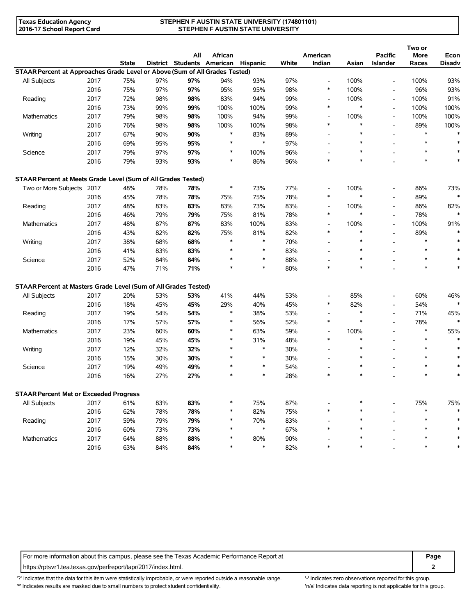#### **STEPHEN F AUSTIN STATE UNIVERSITY (174801101) STEPHEN F AUSTIN STATE UNIVERSITY**

|                                                                             |      |              |     | All                        | African |               |       | American                           |        | <b>Pacific</b>           | Two or<br>More | Econ          |
|-----------------------------------------------------------------------------|------|--------------|-----|----------------------------|---------|---------------|-------|------------------------------------|--------|--------------------------|----------------|---------------|
|                                                                             |      | <b>State</b> |     | District Students American |         | Hispanic      | White | Indian                             | Asian  | Islander                 | Races          | <b>Disadv</b> |
| STAAR Percent at Approaches Grade Level or Above (Sum of All Grades Tested) |      |              |     |                            |         |               |       |                                    |        |                          |                |               |
| All Subjects                                                                | 2017 | 75%          | 97% | 97%                        | 94%     | 93%           | 97%   | $\overline{\phantom{a}}$           | 100%   | $\blacksquare$           | 100%           | 93%           |
|                                                                             | 2016 | 75%          | 97% | 97%                        | 95%     | 95%           | 98%   | $\ast$                             | 100%   | $\overline{a}$           | 96%            | 93%           |
| Reading                                                                     | 2017 | 72%          | 98% | 98%                        | 83%     | 94%           | 99%   | $\overline{\phantom{a}}$           | 100%   | $\overline{\phantom{a}}$ | 100%           | 91%           |
|                                                                             | 2016 | 73%          | 99% | 99%                        | 100%    | 100%          | 99%   | $\ast$                             | $\ast$ | $\overline{\phantom{a}}$ | 100%           | 100%          |
| Mathematics                                                                 | 2017 | 79%          | 98% | 98%                        | 100%    | 94%           | 99%   | $\overline{\phantom{a}}$           | 100%   | $\overline{\phantom{a}}$ | 100%           | 100%          |
|                                                                             | 2016 | 76%          | 98% | 98%                        | 100%    | 100%          | 98%   | $\ast$                             | $\ast$ | $\overline{\phantom{a}}$ | 89%            | 100%          |
| Writing                                                                     | 2017 | 67%          | 90% | 90%                        | *       | 83%           | 89%   | $\blacksquare$                     | $\ast$ |                          | $\ast$         |               |
|                                                                             | 2016 | 69%          | 95% | 95%                        | $\ast$  | $\ast$        | 97%   |                                    | $\ast$ |                          | $\ast$         | $\ast$        |
| Science                                                                     | 2017 | 79%          | 97% | 97%                        | ∗       | 100%          | 96%   |                                    | $\ast$ |                          | $\ast$         | $\ast$        |
|                                                                             | 2016 | 79%          | 93% | 93%                        | $\ast$  | 86%           | 96%   | $\ast$                             | $\ast$ |                          | $\ast$         | $\ast$        |
| STAAR Percent at Meets Grade Level (Sum of All Grades Tested)               |      |              |     |                            |         |               |       |                                    |        |                          |                |               |
| Two or More Subjects 2017                                                   |      | 48%          | 78% | 78%                        | $\ast$  | 73%           | 77%   | $\overline{\phantom{a}}$           | 100%   | $\overline{a}$           | 86%            | 73%           |
|                                                                             | 2016 | 45%          | 78% | 78%                        | 75%     | 75%           | 78%   | $\ast$                             | $\ast$ | $\overline{a}$           | 89%            | $\ast$        |
| Reading                                                                     | 2017 | 48%          | 83% | 83%                        | 83%     | 73%           | 83%   |                                    | 100%   | $\overline{a}$           | 86%            | 82%           |
|                                                                             | 2016 | 46%          | 79% | 79%                        | 75%     | 81%           | 78%   | $\ast$                             | $\ast$ | $\overline{\phantom{a}}$ | 78%            | $\ast$        |
| Mathematics                                                                 | 2017 | 48%          | 87% | 87%                        | 83%     | 100%          | 83%   | $\overline{\phantom{a}}$           | 100%   | $\overline{a}$           | 100%           | 91%           |
|                                                                             | 2016 | 43%          | 82% | 82%                        | 75%     | 81%           | 82%   | $\ast$                             | $\ast$ | $\overline{a}$           | 89%            |               |
| Writing                                                                     | 2017 | 38%          | 68% | 68%                        | *       | $\ast$        | 70%   | $\blacksquare$                     | $\ast$ | $\overline{a}$           | $\ast$         |               |
|                                                                             | 2016 | 41%          | 83% | 83%                        | $\ast$  | $\ast$        | 83%   |                                    | $\ast$ |                          | $\ast$         |               |
| Science                                                                     | 2017 | 52%          | 84% | 84%                        | $\ast$  | $\ast$        | 88%   |                                    | $\ast$ |                          | $\ast$         |               |
|                                                                             | 2016 | 47%          | 71% | 71%                        | $\ast$  | $\ast$        | 80%   | $\ast$                             | $\ast$ |                          | $\ast$         | $\ast$        |
| STAAR Percent at Masters Grade Level (Sum of All Grades Tested)             |      |              |     |                            |         |               |       |                                    |        |                          |                |               |
| All Subjects                                                                | 2017 | 20%          | 53% | 53%                        | 41%     | 44%           | 53%   | $\overline{\phantom{a}}$           | 85%    | $\overline{\phantom{a}}$ | 60%            | 46%           |
|                                                                             | 2016 | 18%          | 45% | 45%                        | 29%     | 40%           | 45%   | *                                  | 82%    | $\overline{a}$           | 54%            | $\ast$        |
| Reading                                                                     | 2017 | 19%          | 54% | 54%                        | $\ast$  | 38%           | 53%   |                                    | $\ast$ | $\overline{a}$           | 71%            | 45%           |
|                                                                             | 2016 | 17%          | 57% | 57%                        | ∗       | 56%           | 52%   | $\ast$                             | $\ast$ | $\overline{a}$           | 78%            | $\ast$        |
|                                                                             |      |              |     |                            | ∗       | 63%           |       |                                    | 100%   | $\overline{a}$           | $\ast$         |               |
| Mathematics                                                                 | 2017 | 23%          | 60% | 60%                        | $\ast$  |               | 59%   | $\overline{\phantom{a}}$<br>$\ast$ | $\ast$ | $\overline{\phantom{a}}$ | $\ast$         | 55%           |
|                                                                             | 2016 | 19%          | 45% | 45%                        | *       | 31%<br>$\ast$ | 48%   |                                    | $\ast$ |                          | $\ast$         |               |
| Writing                                                                     | 2017 | 12%          | 32% | 32%                        | $\ast$  | $\ast$        | 30%   | $\overline{\phantom{a}}$           | $\ast$ |                          | $\ast$         |               |
|                                                                             | 2016 | 15%          | 30% | 30%                        | $\ast$  | $\ast$        | 30%   |                                    | $\ast$ |                          | $\ast$         |               |
| Science                                                                     | 2017 | 19%          | 49% | 49%                        | $\ast$  | $\ast$        | 54%   | $\ast$                             | $\ast$ |                          | $\ast$         | $\ast$        |
|                                                                             | 2016 | 16%          | 27% | 27%                        |         |               | 28%   |                                    |        |                          |                |               |
| <b>STAAR Percent Met or Exceeded Progress</b>                               |      |              |     |                            |         |               |       |                                    |        |                          |                |               |
| All Subjects                                                                | 2017 | 61%          | 83% | 83%                        | *       | 75%           | 87%   |                                    |        |                          | 75%            | 75%           |
|                                                                             | 2016 | 62%          | 78% | 78%                        | $\ast$  | 82%           | 75%   | *                                  |        |                          | $\ast$         |               |
| Reading                                                                     | 2017 | 59%          | 79% | 79%                        | $\ast$  | 70%           | 83%   |                                    |        |                          | *              | $\ast$        |
|                                                                             | 2016 | 60%          | 73% | 73%                        | *       | $\ast$        | 67%   | $\ast$                             | $\ast$ |                          | *              |               |
| Mathematics                                                                 | 2017 | 64%          | 88% | 88%                        | ∗       | 80%           | 90%   |                                    |        |                          |                |               |
|                                                                             | 2016 | 63%          | 84% | 84%                        | *       | $\ast$        | 82%   | $\ast$                             | *      |                          | $\ast$         |               |

For more information about this campus, please see the Texas Academic Performance Report at **Page Page** https://rptsvr1.tea.texas.gov/perfreport/tapr/2017/index.html. **2**

'?' Indicates that the data for this item were statistically improbable, or were reported outside a reasonable range. '' Indicates zero observations reported for this group. '\*' Indicates results are masked due to small numbers to protect student confidentiality. Ma' Indicates data reporting is not applicable for this group.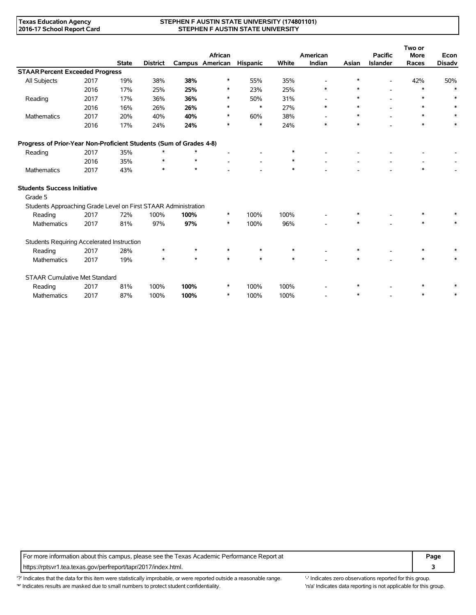#### **STEPHEN F AUSTIN STATE UNIVERSITY (174801101) STEPHEN F AUSTIN STATE UNIVERSITY**

|                                                                    |      |              |                 |         |                 |                 |        |                          |        |                 | Two or      |               |
|--------------------------------------------------------------------|------|--------------|-----------------|---------|-----------------|-----------------|--------|--------------------------|--------|-----------------|-------------|---------------|
|                                                                    |      |              |                 |         | African         |                 |        | American                 |        | <b>Pacific</b>  | <b>More</b> | Econ          |
|                                                                    |      | <b>State</b> | <b>District</b> |         | Campus American | <b>Hispanic</b> | White  | Indian                   | Asian  | <b>Islander</b> | Races       | <b>Disadv</b> |
| <b>STAAR Percent Exceeded Progress</b>                             |      |              |                 |         |                 |                 |        |                          |        |                 |             |               |
| All Subjects                                                       | 2017 | 19%          | 38%             | 38%     | $\ast$          | 55%             | 35%    | $\overline{\phantom{a}}$ | $\ast$ | $\overline{a}$  | 42%         | 50%           |
|                                                                    | 2016 | 17%          | 25%             | 25%     | ∗               | 23%             | 25%    | $\ast$                   | $\ast$ |                 | $\ast$      | $\ast$        |
| Reading                                                            | 2017 | 17%          | 36%             | 36%     | ∗               | 50%             | 31%    |                          | $\ast$ |                 | $\ast$      | $\ast$        |
|                                                                    | 2016 | 16%          | 26%             | 26%     | $\ast$          | $\ast$          | 27%    | $\ast$                   | $\ast$ |                 | $\ast$      | $\ast$        |
| Mathematics                                                        | 2017 | 20%          | 40%             | 40%     | $\ast$          | 60%             | 38%    | $\blacksquare$           | $\ast$ |                 | $\ast$      |               |
|                                                                    | 2016 | 17%          | 24%             | 24%     | $\ast$          | $\ast$          | 24%    | $\ast$                   | $\ast$ |                 | $\ast$      | $\ast$        |
| Progress of Prior-Year Non-Proficient Students (Sum of Grades 4-8) |      |              |                 |         |                 |                 |        |                          |        |                 |             |               |
| Reading                                                            | 2017 | 35%          | *               | $\ast$  |                 |                 |        |                          |        |                 |             |               |
|                                                                    | 2016 | 35%          | $\ast$          | $\star$ |                 | $\blacksquare$  | $\ast$ |                          |        |                 |             |               |
| Mathematics                                                        | 2017 | 43%          | $\ast$          | $\star$ |                 |                 | $\ast$ |                          |        |                 | $\ast$      |               |
| <b>Students Success Initiative</b>                                 |      |              |                 |         |                 |                 |        |                          |        |                 |             |               |
| Grade 5                                                            |      |              |                 |         |                 |                 |        |                          |        |                 |             |               |
| Students Approaching Grade Level on First STAAR Administration     |      |              |                 |         |                 |                 |        |                          |        |                 |             |               |
| Reading                                                            | 2017 | 72%          | 100%            | 100%    | $\ast$          | 100%            | 100%   |                          | $\ast$ |                 | $\ast$      |               |
| Mathematics                                                        | 2017 | 81%          | 97%             | 97%     | $\ast$          | 100%            | 96%    |                          | *      |                 | $\ast$      |               |
| Students Requiring Accelerated Instruction                         |      |              |                 |         |                 |                 |        |                          |        |                 |             |               |
| Reading                                                            | 2017 | 28%          | $\ast$          | $\star$ | $\ast$          | $\ast$          | $\ast$ |                          |        |                 | $\ast$      |               |
| Mathematics                                                        | 2017 | 19%          | $\ast$          | $\star$ | $\ast$          | $\ast$          | $\ast$ |                          | $\ast$ |                 | $\ast$      | $\ast$        |
| <b>STAAR Cumulative Met Standard</b>                               |      |              |                 |         |                 |                 |        |                          |        |                 |             |               |
| Reading                                                            | 2017 | 81%          | 100%            | 100%    | $\ast$          | 100%            | 100%   |                          |        |                 | $\ast$      |               |
| <b>Mathematics</b>                                                 | 2017 | 87%          | 100%            | 100%    | $\ast$          | 100%            | 100%   |                          | $\ast$ |                 | $\ast$      | $\ast$        |

For more information about this campus, please see the Texas Academic Performance Report at **Page Page** https://rptsvr1.tea.texas.gov/perfreport/tapr/2017/index.html. **3**

'?' Indicates that the data for this item were statistically improbable, or were reported outside a reasonable range. '' Indicates zero observations reported for this group. '\*' Indicates results are masked due to small numbers to protect student confidentiality. Ma' Indicates data reporting is not applicable for this group.